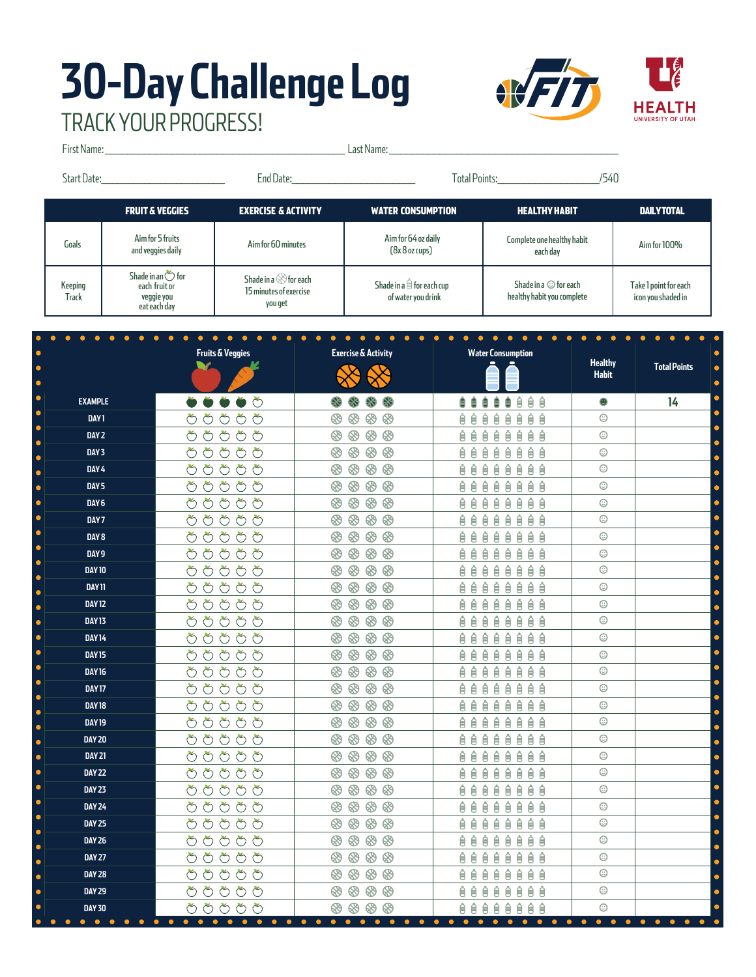## **30-Day Challenge Log** TRACK YOUR PROGRESS!

ċ

ċ

 $\bullet$ 

ċ

 $\bullet$ 

ċ

k

 $\bullet$ 

 $\bullet$ 

Ċ

 $\bullet$ 

 $\bullet$ 

Ċ

 $\bullet$ 

ä

ċ

 $\bullet$ 

Ċ

ò

Ċ  $\bullet$ 

ċ



First Name: \_\_\_\_\_\_\_\_\_\_\_\_\_\_\_\_\_\_\_\_\_\_\_\_\_\_\_\_\_\_\_\_\_\_\_\_\_\_\_\_\_\_\_ Last Name: \_\_\_\_\_\_\_\_\_\_\_\_\_\_\_\_\_\_\_\_\_\_\_\_\_\_\_\_\_\_\_\_\_\_\_\_\_\_\_\_\_ Start Date:\_\_\_\_\_\_\_\_\_\_\_\_\_\_\_\_\_\_\_\_\_\_\_ End Date:\_\_\_\_\_\_\_\_\_\_\_\_\_\_\_\_\_\_\_\_\_\_\_ Total Points:\_\_\_\_\_\_\_\_\_\_\_\_\_\_\_\_\_\_\_/540FRUIT & VEGGIES EXERCISE & ACTIVITY WATER CONSUMPTION HEALTHY HABIT DAILY TOTAL Goals Aim for 5 fruits<br>and veggies daily and veggies daily Aim for 60 minutes Aim for 64 oz daily Complete one healthy habit e one healthy habit Aim for 100%<br>each day (8x 8 oz cups) Shade in an  $\circlearrowright$  for Shade in a  $\otimes$  for each Shade in a  $\hat{\boxdot}$  for each cup Shade in a  $\odot$  for each Take 1 point for each Keeping each fruit or 15 minutes of exercise veggie you of water you drink healthy habit you complete icon you shaded in **Track** you get eat each day  $\bullet$  $\bullet$  $\bullet$  $\bullet$  $\bullet$  $\bullet$ **Fruits & Veggies Exercise & Activity Water Consumption Healthy Total Points** v **Habit EXAMPLE 14 自自自自自自自自**  $\odot$ **DAY 1** ももももも ⊛ ⊛  $^{\circledR}$ ⊛ やめめめめ **DAY 2** ⊛  $\circledR \circledR \circledR$ 自自自自自自自  $\odot$ はよみめよ ⊛ **88 88 88** 自自自自自自自自  $\odot$ **DAY 3** もちちささ  $\odot$ 自自自自自自自自 **DAY 4 DAY 5** はおおおお  $\, 8\, 8\, 8\, 8$ **自自自自自自自自**  $\odot$ **DAY 6** はよみみよ  $\textcircled{\tiny{\textcircled{\#}}}\otimes\textcircled{\tiny{\textcircled{\#}}}$ **自自自自自自自自**  $\odot$ もちちよも  $\odot$ **DAY 7** 自自自自自自自自 もちちささ  $8888$ 自自自自自自自自  $\odot$ **DAY 8** 自自自自自自自 **DAY 9** ややみやめ  $\odot$  $\odot$ **DAY 10** ももももも ⊛  $\otimes$   $\otimes$ ⊛ 自自自自自自自 Ê  $\odot$ **DAY 11** はよみめよ 自自自自自自自自 もちちさみ  $80000$  $\odot$ **DAY 12 自自自自自自自自** はよみめめ 自自自自自自自自  $\odot$ **DAY 13** ももももも 8888 自自自自自自自  $\odot$ **DAY 14 DAY 15** やめめめめ ⊛  $\circledast \circledast$  $\otimes$ 自自自自自自自自  $\odot$ **QQQQQQQQ DAY 16** もよみどよ  $\odot$ **DAY 17** はよみみよ 自自自自自自自自  $\odot$  $\odot$ **DAY 18** もちちよも 8888 **自自自自自自自自** ⊛  $\odot$ **DAY 19** みみみおめ  $\otimes$   $\otimes$   $\otimes$ 自自自自自自自 ⊛ はよみめよ ⊗  $\circledast \circledast \circledast$ 自自自自自自自自  $\odot$ **DAY 20** はよみめよ 自自自自自自自自  $\odot$ **DAY 21**  $\odot$ **DAY 22** もちちよな ⊛  $\circledast \circledast \circledast$ **自自自自自自自自 DAY 23** ももももも **49 49 49 49** 自自自自自自自  $\odot$ ももももも  $\odot$ 自自自自自自自自 **DAY 24**  $\overline{\odot}$ **DAY 25** はよみめよ 自自自自自自自自 **DAY 26** みみみおめ 8888 **自自自自自自自自**  $\odot$  $\odot$ **DAY 27** ももももも ⊛  $\circledast \circledast \circledast$ 自自自自自自自自 **DAY 28** はよみみよ  $80000$ 自自自自自自自自  $\odot$  $\odot$ **DAY 29** はよみめよ 自自自自自自自自 **DAY 30** みよみみよ  $\otimes$  $\otimes$  $\otimes$ 自自自自自自自 Ê  $\odot$